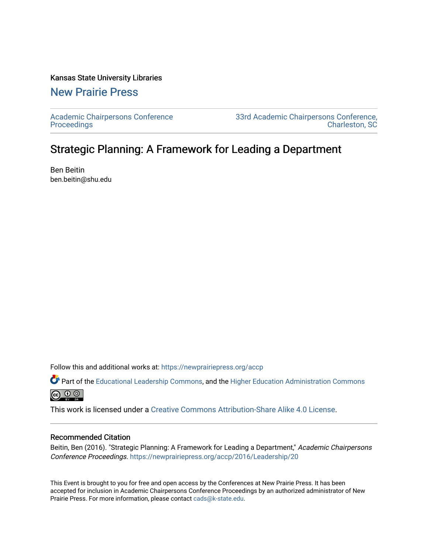## Kansas State University Libraries

[New Prairie Press](https://newprairiepress.org/) 

[Academic Chairpersons Conference](https://newprairiepress.org/accp)  **Proceedings** 

[33rd Academic Chairpersons Conference,](https://newprairiepress.org/accp/2016)  [Charleston, SC](https://newprairiepress.org/accp/2016) 

## Strategic Planning: A Framework for Leading a Department

Ben Beitin ben.beitin@shu.edu

Follow this and additional works at: [https://newprairiepress.org/accp](https://newprairiepress.org/accp?utm_source=newprairiepress.org%2Faccp%2F2016%2FLeadership%2F20&utm_medium=PDF&utm_campaign=PDFCoverPages) 

Part of the [Educational Leadership Commons,](http://network.bepress.com/hgg/discipline/1230?utm_source=newprairiepress.org%2Faccp%2F2016%2FLeadership%2F20&utm_medium=PDF&utm_campaign=PDFCoverPages) and the [Higher Education Administration Commons](http://network.bepress.com/hgg/discipline/791?utm_source=newprairiepress.org%2Faccp%2F2016%2FLeadership%2F20&utm_medium=PDF&utm_campaign=PDFCoverPages)  $\circledcirc$ 

This work is licensed under a [Creative Commons Attribution-Share Alike 4.0 License.](https://creativecommons.org/licenses/by-sa/4.0/)

## Recommended Citation

Beitin, Ben (2016). "Strategic Planning: A Framework for Leading a Department," Academic Chairpersons Conference Proceedings.<https://newprairiepress.org/accp/2016/Leadership/20>

This Event is brought to you for free and open access by the Conferences at New Prairie Press. It has been accepted for inclusion in Academic Chairpersons Conference Proceedings by an authorized administrator of New Prairie Press. For more information, please contact [cads@k-state.edu.](mailto:cads@k-state.edu)